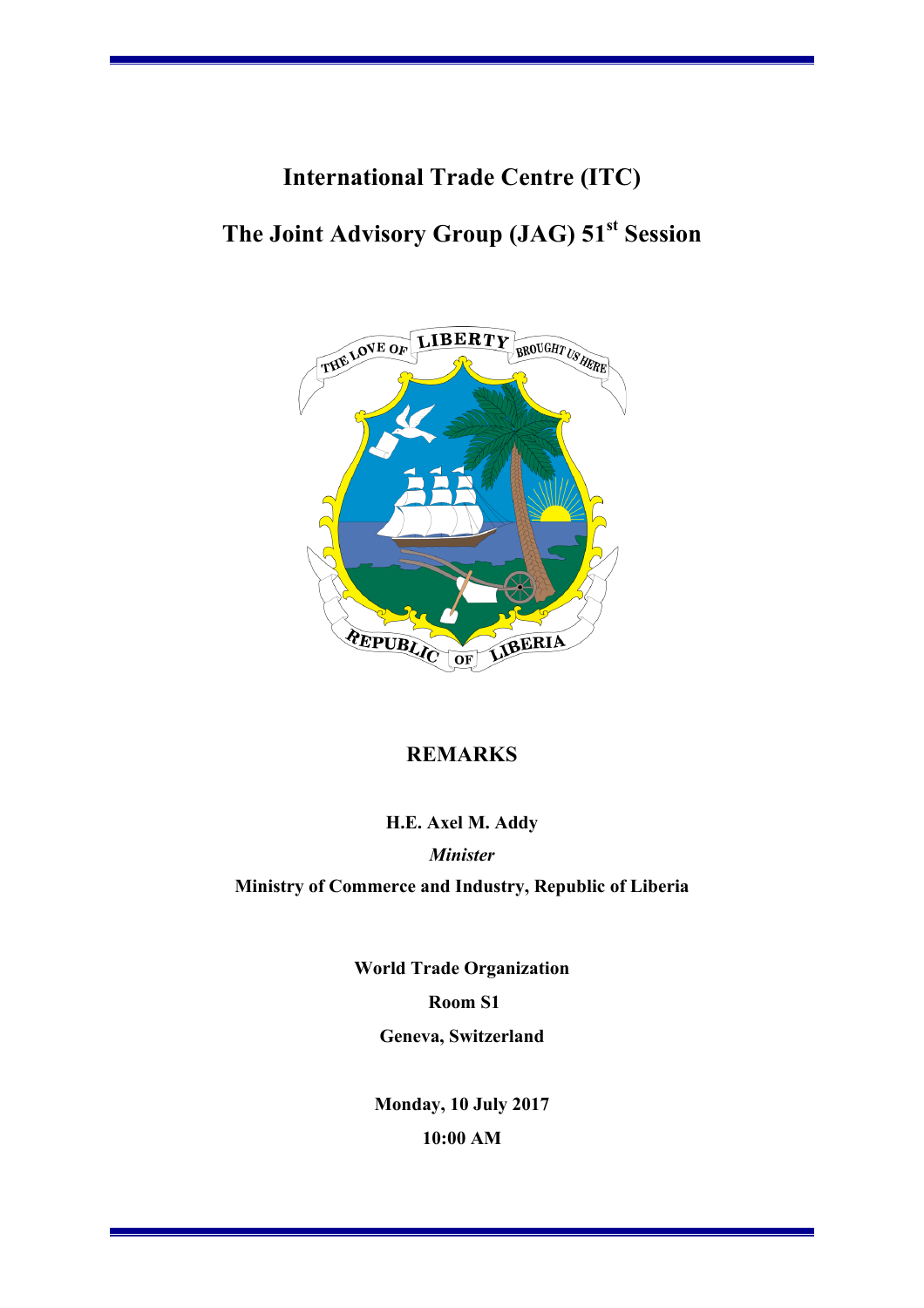# **International Trade Centre (ITC)**

## **The Joint Advisory Group (JAG) 51st Session**



## **REMARKS**

#### **H.E. Axel M. Addy**

*Minister*

**Ministry of Commerce and Industry, Republic of Liberia**

**World Trade Organization Room S1 Geneva, Switzerland**

**Monday, 10 July 2017 10:00 AM**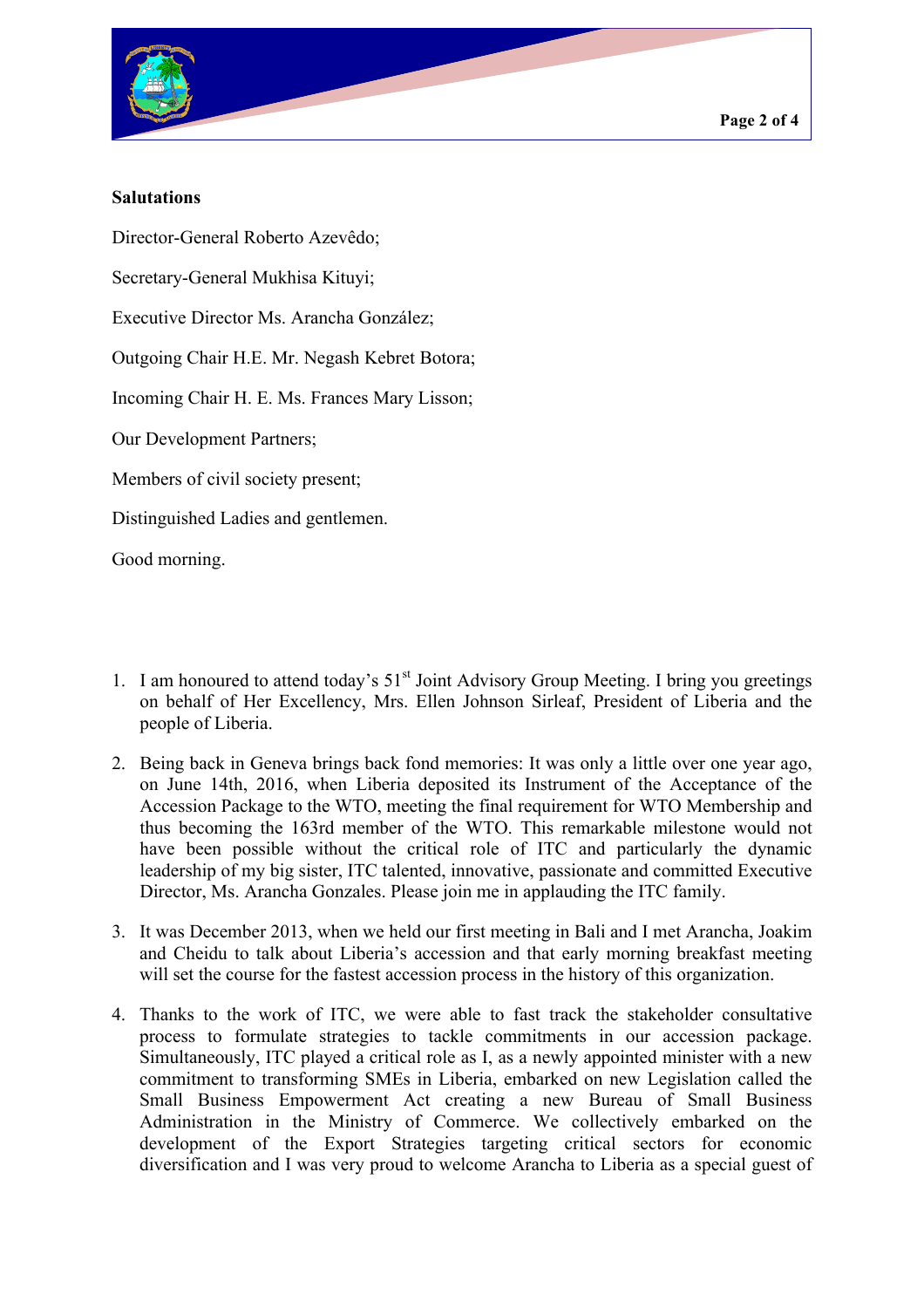

### **Salutations**

Director-General Roberto Azevêdo;

Secretary-General Mukhisa Kituyi;

Executive Director Ms. Arancha González;

Outgoing Chair H.E. Mr. Negash Kebret Botora;

Incoming Chair H. E. Ms. Frances Mary Lisson;

Our Development Partners;

Members of civil society present;

Distinguished Ladies and gentlemen.

Good morning.

- 1. I am honoured to attend today's  $51<sup>st</sup>$  Joint Advisory Group Meeting. I bring you greetings on behalf of Her Excellency, Mrs. Ellen Johnson Sirleaf, President of Liberia and the people of Liberia.
- 2. Being back in Geneva brings back fond memories: It was only a little over one year ago, on June 14th, 2016, when Liberia deposited its Instrument of the Acceptance of the Accession Package to the WTO, meeting the final requirement for WTO Membership and thus becoming the 163rd member of the WTO. This remarkable milestone would not have been possible without the critical role of ITC and particularly the dynamic leadership of my big sister, ITC talented, innovative, passionate and committed Executive Director, Ms. Arancha Gonzales. Please join me in applauding the ITC family.
- 3. It was December 2013, when we held our first meeting in Bali and I met Arancha, Joakim and Cheidu to talk about Liberia's accession and that early morning breakfast meeting will set the course for the fastest accession process in the history of this organization.
- 4. Thanks to the work of ITC, we were able to fast track the stakeholder consultative process to formulate strategies to tackle commitments in our accession package. Simultaneously, ITC played a critical role as I, as a newly appointed minister with a new commitment to transforming SMEs in Liberia, embarked on new Legislation called the Small Business Empowerment Act creating a new Bureau of Small Business Administration in the Ministry of Commerce. We collectively embarked on the development of the Export Strategies targeting critical sectors for economic diversification and I was very proud to welcome Arancha to Liberia as a special guest of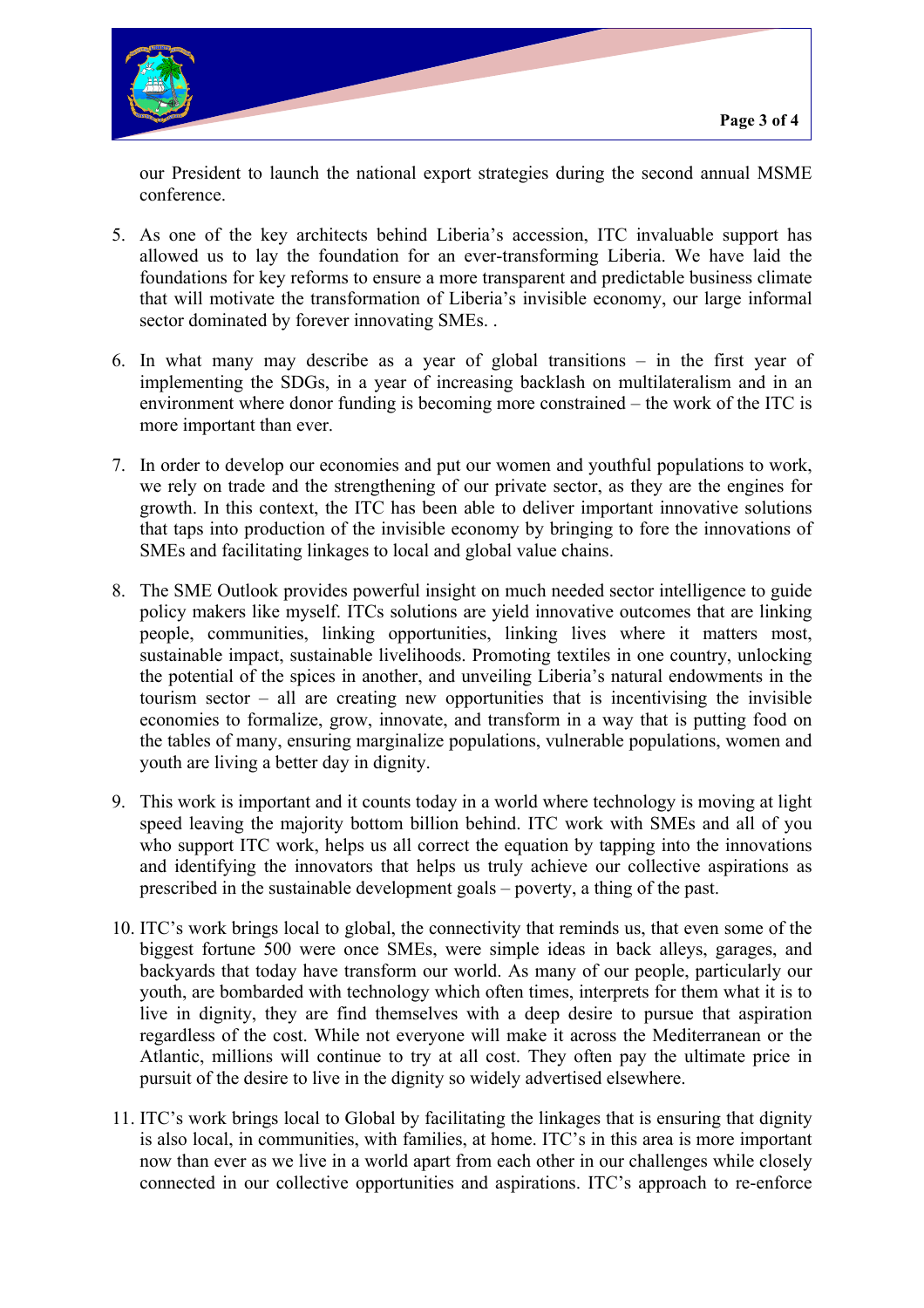

our President to launch the national export strategies during the second annual MSME conference.

- 5. As one of the key architects behind Liberia's accession, ITC invaluable support has allowed us to lay the foundation for an ever-transforming Liberia. We have laid the foundations for key reforms to ensure a more transparent and predictable business climate that will motivate the transformation of Liberia's invisible economy, our large informal sector dominated by forever innovating SMEs. .
- 6. In what many may describe as a year of global transitions in the first year of implementing the SDGs, in a year of increasing backlash on multilateralism and in an environment where donor funding is becoming more constrained – the work of the ITC is more important than ever.
- 7. In order to develop our economies and put our women and youthful populations to work, we rely on trade and the strengthening of our private sector, as they are the engines for growth. In this context, the ITC has been able to deliver important innovative solutions that taps into production of the invisible economy by bringing to fore the innovations of SMEs and facilitating linkages to local and global value chains.
- 8. The SME Outlook provides powerful insight on much needed sector intelligence to guide policy makers like myself. ITCs solutions are yield innovative outcomes that are linking people, communities, linking opportunities, linking lives where it matters most, sustainable impact, sustainable livelihoods. Promoting textiles in one country, unlocking the potential of the spices in another, and unveiling Liberia's natural endowments in the tourism sector – all are creating new opportunities that is incentivising the invisible economies to formalize, grow, innovate, and transform in a way that is putting food on the tables of many, ensuring marginalize populations, vulnerable populations, women and youth are living a better day in dignity.
- 9. This work is important and it counts today in a world where technology is moving at light speed leaving the majority bottom billion behind. ITC work with SMEs and all of you who support ITC work, helps us all correct the equation by tapping into the innovations and identifying the innovators that helps us truly achieve our collective aspirations as prescribed in the sustainable development goals – poverty, a thing of the past.
- 10. ITC's work brings local to global, the connectivity that reminds us, that even some of the biggest fortune 500 were once SMEs, were simple ideas in back alleys, garages, and backyards that today have transform our world. As many of our people, particularly our youth, are bombarded with technology which often times, interprets for them what it is to live in dignity, they are find themselves with a deep desire to pursue that aspiration regardless of the cost. While not everyone will make it across the Mediterranean or the Atlantic, millions will continue to try at all cost. They often pay the ultimate price in pursuit of the desire to live in the dignity so widely advertised elsewhere.
- 11. ITC's work brings local to Global by facilitating the linkages that is ensuring that dignity is also local, in communities, with families, at home. ITC's in this area is more important now than ever as we live in a world apart from each other in our challenges while closely connected in our collective opportunities and aspirations. ITC's approach to re-enforce